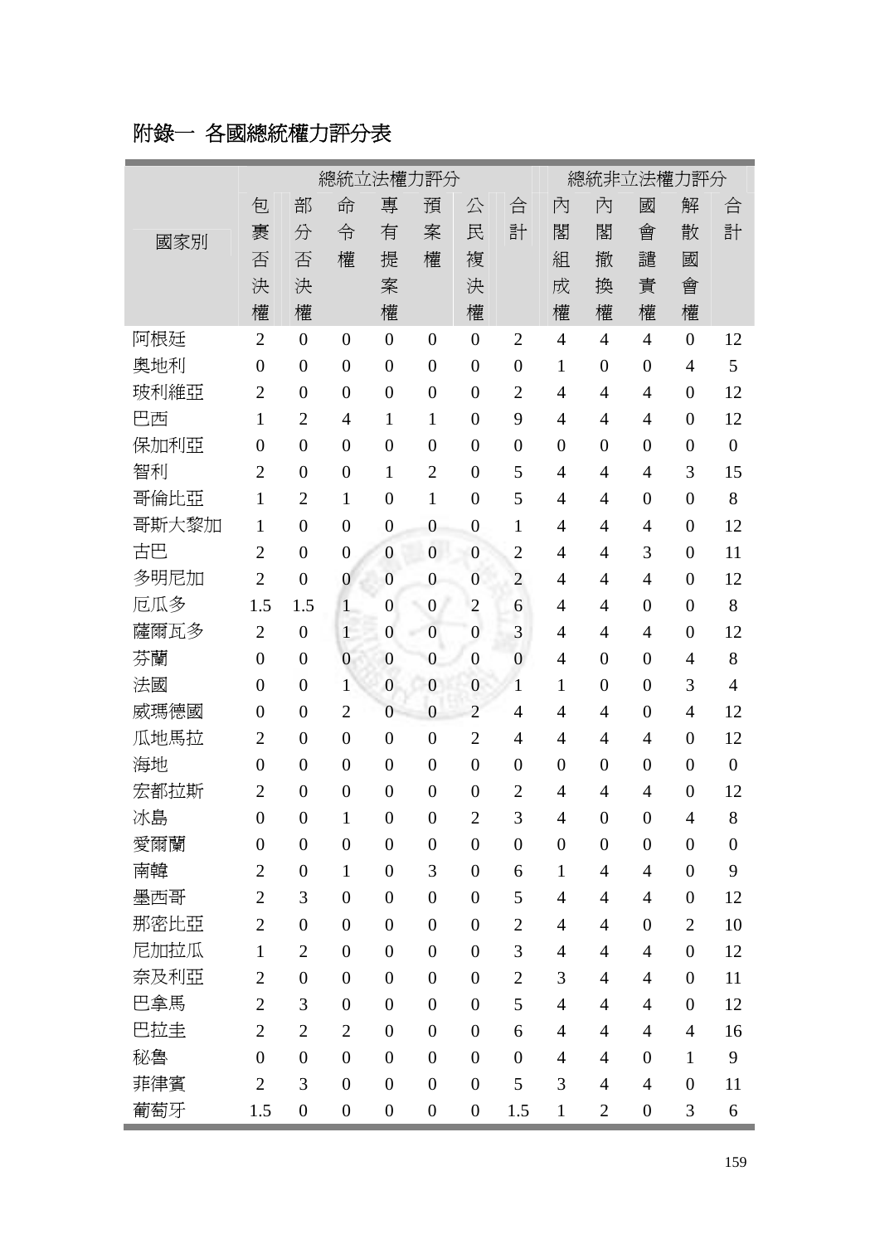## 附錄一 各國總統權力評分表

|       | 總統立法權力評分         |                  |                  |                  |                  |                  |                  | 總統非立法權力評分        |                  |                  |                  |                  |  |
|-------|------------------|------------------|------------------|------------------|------------------|------------------|------------------|------------------|------------------|------------------|------------------|------------------|--|
|       | 包                | 部                | 命                | 專                | 預                | 公                | 合                | 內                | 內                | 國                | 解                | 合                |  |
| 國家別   | 裹                | 分                | 令                | 有                | 案                | 民                | 計                | 閣                | 閣                | 會                | 散                | 計                |  |
|       | 否                | 否                | 權                | 提                | 權                | 複                |                  | 組                | 撤                | 譴                | 國                |                  |  |
|       | 決                | 決                |                  | 案                |                  | 決                |                  | 成                | 換                | 責                | 會                |                  |  |
|       | 權                | 權                |                  | 權                |                  | 權                |                  | 權                | 權                | 權                | 權                |                  |  |
| 阿根廷   | $\overline{2}$   | $\overline{0}$   | $\boldsymbol{0}$ | $\overline{0}$   | $\boldsymbol{0}$ | $\overline{0}$   | $\overline{2}$   | $\overline{4}$   | $\overline{4}$   | $\overline{4}$   | $\overline{0}$   | 12               |  |
| 奧地利   | $\boldsymbol{0}$ | $\overline{0}$   | $\boldsymbol{0}$ | $\overline{0}$   | $\boldsymbol{0}$ | $\overline{0}$   | $\overline{0}$   | $\mathbf{1}$     | $\boldsymbol{0}$ | $\boldsymbol{0}$ | $\overline{4}$   | 5                |  |
| 玻利維亞  | $\overline{2}$   | $\overline{0}$   | $\boldsymbol{0}$ | $\overline{0}$   | $\boldsymbol{0}$ | $\overline{0}$   | $\overline{2}$   | $\overline{4}$   | $\overline{4}$   | $\overline{4}$   | $\overline{0}$   | 12               |  |
| 巴西    | $\mathbf{1}$     | $\overline{2}$   | 4                | $\mathbf{1}$     | $\mathbf{1}$     | $\overline{0}$   | 9                | $\overline{4}$   | $\overline{4}$   | $\overline{4}$   | $\overline{0}$   | 12               |  |
| 保加利亞  | $\boldsymbol{0}$ | $\overline{0}$   | $\boldsymbol{0}$ | $\overline{0}$   | $\boldsymbol{0}$ | $\overline{0}$   | $\boldsymbol{0}$ | $\boldsymbol{0}$ | $\overline{0}$   | $\boldsymbol{0}$ | $\overline{0}$   | $\boldsymbol{0}$ |  |
| 智利    | $\overline{2}$   | $\overline{0}$   | $\boldsymbol{0}$ | $\mathbf{1}$     | $\overline{2}$   | $\overline{0}$   | 5                | $\overline{4}$   | $\overline{4}$   | $\overline{4}$   | 3                | 15               |  |
| 哥倫比亞  | $\mathbf{1}$     | $\overline{2}$   | $\mathbf{1}$     | $\overline{0}$   | $\mathbf{1}$     | $\overline{0}$   | 5                | $\overline{4}$   | 4                | $\boldsymbol{0}$ | $\overline{0}$   | 8                |  |
| 哥斯大黎加 | $\mathbf{1}$     | $\overline{0}$   | $\boldsymbol{0}$ | $\overline{0}$   | $\boldsymbol{0}$ | $\overline{0}$   | $\mathbf{1}$     | $\overline{4}$   | 4                | $\overline{4}$   | $\overline{0}$   | 12               |  |
| 古巴    | $\overline{2}$   | $\overline{0}$   | $\boldsymbol{0}$ | $\mathbf{0}$     | $\overline{0}$   | $\mathbf{0}$     | $\overline{2}$   | $\overline{4}$   | $\overline{4}$   | 3                | $\overline{0}$   | 11               |  |
| 多明尼加  | $\overline{2}$   | $\overline{0}$   | $\boldsymbol{0}$ | $\overline{0}$   | $\mathbf{0}$     | $\overline{0}$   | $\overline{c}$   | $\overline{4}$   | $\overline{4}$   | $\overline{4}$   | $\overline{0}$   | 12               |  |
| 厄瓜多   | 1.5              | 1.5              | $\mathbf{1}$     | $\boldsymbol{0}$ | $\boldsymbol{0}$ | $\overline{c}$   | 6                | $\overline{4}$   | 4                | $\boldsymbol{0}$ | $\overline{0}$   | 8                |  |
| 薩爾瓦多  | $\overline{2}$   | $\boldsymbol{0}$ | $\mathbf{1}$     | $\overline{0}$   | $\overline{0}$   | $\overline{0}$   | 3                | $\overline{4}$   | $\overline{4}$   | $\overline{4}$   | $\overline{0}$   | 12               |  |
| 芬蘭    | $\boldsymbol{0}$ | $\overline{0}$   | $\mathbf{0}$     | $\boldsymbol{0}$ | $\mathbf{0}$     | $\overline{0}$   | $\overline{0}$   | $\overline{4}$   | $\overline{0}$   | $\boldsymbol{0}$ | $\overline{4}$   | 8                |  |
| 法國    | $\boldsymbol{0}$ | $\overline{0}$   | 1                | $\mathbf{0}$     | $\mathbf{0}$     | $\boldsymbol{0}$ | $\mathbf{1}$     | $\mathbf{1}$     | $\overline{0}$   | $\boldsymbol{0}$ | 3                | $\overline{4}$   |  |
| 威瑪德國  | $\boldsymbol{0}$ | $\overline{0}$   | $\overline{c}$   | $\overline{0}$   | $\boldsymbol{0}$ | $\overline{2}$   | $\overline{4}$   | $\overline{4}$   | $\overline{4}$   | $\boldsymbol{0}$ | $\overline{4}$   | 12               |  |
| 瓜地馬拉  | $\overline{2}$   | $\overline{0}$   | $\boldsymbol{0}$ | $\overline{0}$   | $\boldsymbol{0}$ | $\overline{2}$   | 4                | $\overline{4}$   | $\overline{4}$   | $\overline{4}$   | $\overline{0}$   | 12               |  |
| 海地    | $\boldsymbol{0}$ | $\overline{0}$   | $\boldsymbol{0}$ | $\overline{0}$   | $\boldsymbol{0}$ | $\overline{0}$   | $\overline{0}$   | $\boldsymbol{0}$ | $\boldsymbol{0}$ | $\boldsymbol{0}$ | $\overline{0}$   | $\boldsymbol{0}$ |  |
| 宏都拉斯  | $\overline{c}$   | $\overline{0}$   | $\boldsymbol{0}$ | $\overline{0}$   | $\boldsymbol{0}$ | $\overline{0}$   | $\overline{2}$   | $\overline{4}$   | $\overline{4}$   | $\overline{4}$   | $\overline{0}$   | 12               |  |
| 冰島    | $\boldsymbol{0}$ | $\boldsymbol{0}$ | 1                | $\boldsymbol{0}$ | $\boldsymbol{0}$ | $\overline{2}$   | 3                | $\overline{4}$   | $\boldsymbol{0}$ | $\boldsymbol{0}$ | $\overline{4}$   | 8                |  |
| 愛爾蘭   | $\boldsymbol{0}$ | $\boldsymbol{0}$ | $\boldsymbol{0}$ | $\boldsymbol{0}$ | $\boldsymbol{0}$ | $\boldsymbol{0}$ | $\boldsymbol{0}$ | $\boldsymbol{0}$ | $\boldsymbol{0}$ | $\boldsymbol{0}$ | $\boldsymbol{0}$ | $\boldsymbol{0}$ |  |
| 南韓    | $\overline{2}$   | $\overline{0}$   | $\mathbf{1}$     | $\overline{0}$   | 3                | $\overline{0}$   | 6                | $\mathbf{1}$     | $\overline{4}$   | $\overline{4}$   | $\overline{0}$   | 9                |  |
| 墨西哥   | $\overline{2}$   | 3                | $\boldsymbol{0}$ | $\overline{0}$   | $\boldsymbol{0}$ | $\overline{0}$   | 5                | $\overline{4}$   | $\overline{4}$   | $\overline{4}$   | $\overline{0}$   | 12               |  |
| 那密比亞  | $\overline{2}$   | $\overline{0}$   | $\boldsymbol{0}$ | $\overline{0}$   | $\boldsymbol{0}$ | $\overline{0}$   | $\overline{2}$   | $\overline{4}$   | $\overline{4}$   | $\boldsymbol{0}$ | $\overline{2}$   | 10               |  |
| 尼加拉瓜  | $\mathbf{1}$     | $\mathfrak{2}$   | $\boldsymbol{0}$ | $\overline{0}$   | $\boldsymbol{0}$ | $\boldsymbol{0}$ | 3                | $\overline{4}$   | $\overline{4}$   | $\overline{4}$   | $\boldsymbol{0}$ | 12               |  |
| 奈及利亞  | $\overline{2}$   | $\boldsymbol{0}$ | $\boldsymbol{0}$ | $\overline{0}$   | $\boldsymbol{0}$ | $\overline{0}$   | $\overline{c}$   | 3                | $\overline{4}$   | $\overline{4}$   | $\overline{0}$   | 11               |  |
| 巴拿馬   | $\overline{2}$   | 3                | $\boldsymbol{0}$ | $\overline{0}$   | $\boldsymbol{0}$ | $\boldsymbol{0}$ | 5                | $\overline{4}$   | $\overline{4}$   | $\overline{4}$   | $\overline{0}$   | 12               |  |
| 巴拉圭   | $\overline{2}$   | $\overline{2}$   | $\overline{2}$   | $\overline{0}$   | $\boldsymbol{0}$ | $\boldsymbol{0}$ | 6                | $\overline{4}$   | $\overline{4}$   | $\overline{4}$   | $\overline{4}$   | 16               |  |
| 秘魯    | $\boldsymbol{0}$ | $\boldsymbol{0}$ | $\boldsymbol{0}$ | $\overline{0}$   | $\boldsymbol{0}$ | $\boldsymbol{0}$ | $\boldsymbol{0}$ | $\overline{4}$   | $\overline{4}$   | $\boldsymbol{0}$ | $\mathbf{1}$     | 9                |  |
| 菲律賓   | $\overline{2}$   | 3                | $\boldsymbol{0}$ | $\overline{0}$   | $\boldsymbol{0}$ | $\boldsymbol{0}$ | 5                | 3                | $\overline{4}$   | $\overline{4}$   | $\boldsymbol{0}$ | 11               |  |
| 葡萄牙   | 1.5              | $\boldsymbol{0}$ | $\boldsymbol{0}$ | $\boldsymbol{0}$ | $\boldsymbol{0}$ | $\boldsymbol{0}$ | 1.5              | $\mathbf{1}$     | $\overline{2}$   | $\boldsymbol{0}$ | 3                | 6                |  |